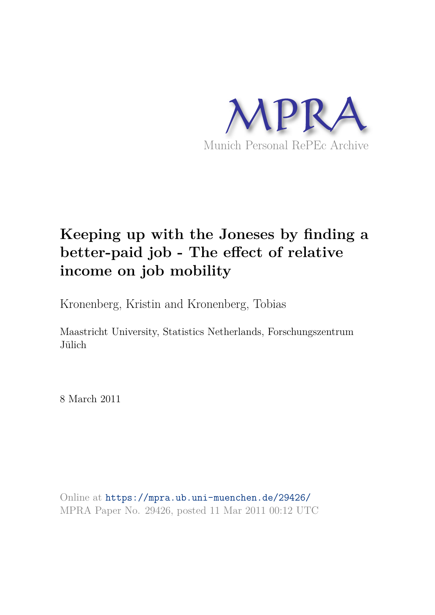

# **Keeping up with the Joneses by finding a better-paid job - The effect of relative income on job mobility**

Kronenberg, Kristin and Kronenberg, Tobias

Maastricht University, Statistics Netherlands, Forschungszentrum Jülich

8 March 2011

Online at https://mpra.ub.uni-muenchen.de/29426/ MPRA Paper No. 29426, posted 11 Mar 2011 00:12 UTC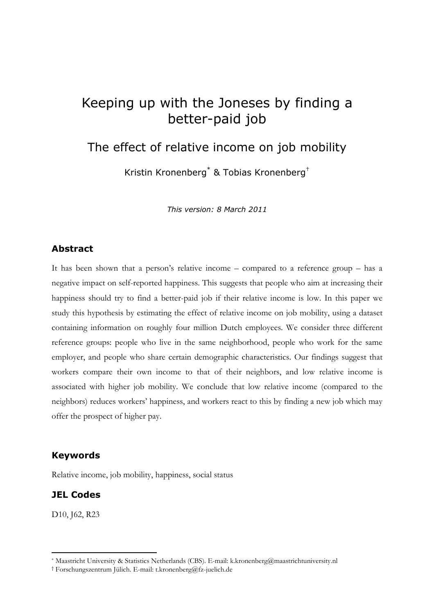## Keeping up with the Joneses by finding a better-paid job

## The effect of relative income on job mobility

Kristin Kronenberg<sup>\*</sup> & Tobias Kronenberg<sup>†</sup>

This version: 8 March 2011

### Abstract

It has been shown that a person's relative income – compared to a reference group – has a negative impact on self-reported happiness. This suggests that people who aim at increasing their happiness should try to find a better-paid job if their relative income is low. In this paper we study this hypothesis by estimating the effect of relative income on job mobility, using a dataset containing information on roughly four million Dutch employees. We consider three different reference groups: people who live in the same neighborhood, people who work for the same employer, and people who share certain demographic characteristics. Our findings suggest that workers compare their own income to that of their neighbors, and low relative income is associated with higher job mobility. We conclude that low relative income (compared to the neighbors) reduces workers' happiness, and workers react to this by finding a new job which may offer the prospect of higher pay.

#### Keywords

Relative income, job mobility, happiness, social status

### JEL Codes

D<sub>10</sub>, J<sub>62</sub>, R<sub>23</sub>

<sup>\*</sup> MaastrichtUniversity&StatisticsNetherlands(CBS).Email:k.kronenberg@maastrichtuniversity.nl

<sup>†</sup> Forschungszentrum Jülich. E-mail: t.kronenberg@fz-juelich.de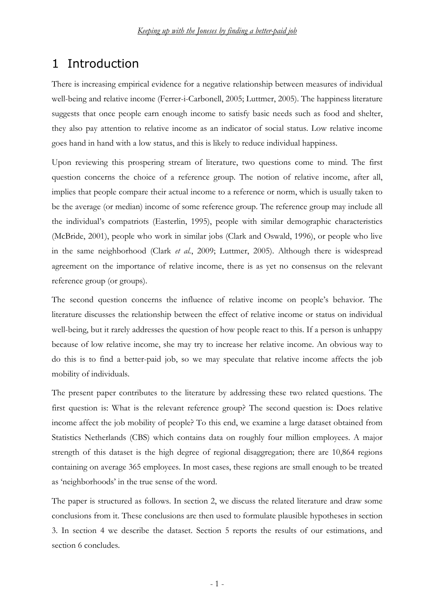## 1 Introduction

There is increasing empirical evidence for a negative relationship between measures of individual well-being and relative income (Ferrer-i-Carbonell, 2005; Luttmer, 2005). The happiness literature suggests that once people earn enough income to satisfy basic needs such as food and shelter, they also pay attention to relative income as an indicator of social status. Low relative income goes hand in hand with a low status, and this is likely to reduce individual happiness.

Upon reviewing this prospering stream of literature, two questions come to mind. The first question concerns the choice of a reference group. The notion of relative income, after all, implies that people compare their actual income to a reference or norm, which is usually taken to be the average (or median) income of some reference group. The reference group may include all the individual's compatriots (Easterlin, 1995), people with similar demographic characteristics (McBride, 2001), people who work in similar jobs (Clark and Oswald, 1996), or people who live in the same neighborhood (Clark et al., 2009; Luttmer, 2005). Although there is widespread agreement on the importance of relative income, there is as yet no consensus on the relevant reference group (or groups).

The second question concerns the influence of relative income on people's behavior. The literature discusses the relationship between the effect of relative income or status on individual well-being, but it rarely addresses the question of how people react to this. If a person is unhappy because of low relative income, she may try to increase her relative income. An obvious way to do this is to find a better-paid job, so we may speculate that relative income affects the job mobility of individuals.

The present paper contributes to the literature by addressing these two related questions. The first question is: What is the relevant reference group? The second question is: Does relative income affect the job mobility of people? To this end, we examine a large dataset obtained from Statistics Netherlands (CBS) which contains data on roughly four million employees. A major strength of this dataset is the high degree of regional disaggregation; there are 10,864 regions containing on average 365 employees. In most cases, these regions are small enough to be treated as 'neighborhoods' in the true sense of the word.

The paper is structured as follows. In section 2, we discuss the related literature and draw some conclusions from it. These conclusions are then used to formulate plausible hypotheses in section 3. In section 4 we describe the dataset. Section 5 reports the results of our estimations, and section 6 concludes.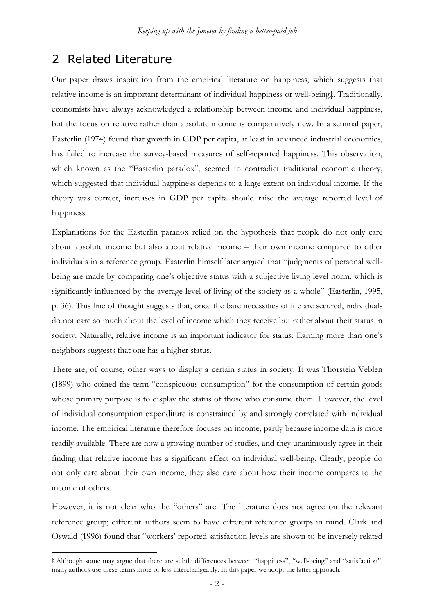## 2 Related Literature

Our paper draws inspiration from the empirical literature on happiness, which suggests that relative income is an important determinant of individual happiness or well-being‡. Traditionally, economists have always acknowledged a relationship between income and individual happiness, but the focus on relative rather than absolute income is comparatively new. In a seminal paper, Easterlin (1974) found that growth in GDP per capita, at least in advanced industrial economics, has failed to increase the survey-based measures of self-reported happiness. This observation, which known as the "Easterlin paradox", seemed to contradict traditional economic theory, which suggested that individual happiness depends to a large extent on individual income. If the theory was correct, increases in GDP per capita should raise the average reported level of happiness.

Explanations for the Easterlin paradox relied on the hypothesis that people do not only care about absolute income but also about relative income – their own income compared to other individuals in a reference group. Easterlin himself later argued that "judgments of personal wellbeing are made by comparing one's objective status with a subjective living level norm, which is significantly influenced by the average level of living of the society as a whole" (Easterlin, 1995, p. 36). This line of thought suggests that, once the bare necessities of life are secured, individuals do not care so much about the level of income which they receive but rather about their status in society. Naturally, relative income is an important indicator for status: Earning more than one's neighbors suggests that one has a higher status.

There are, of course, other ways to display a certain status in society. It was Thorstein Veblen (1899) who coined the term "conspicuous consumption" for the consumption of certain goods whose primary purpose is to display the status of those who consume them. However, the level of individual consumption expenditure is constrained by and strongly correlated with individual income. The empirical literature therefore focuses on income, partly because income data is more readily available. There are now a growing number of studies, and they unanimously agree in their finding that relative income has a significant effect on individual well-being. Clearly, people do not only care about their own income, they also care about how their income compares to the income of others.

However, it is not clear who the "others" are. The literature does not agree on the relevant reference group; different authors seem to have different reference groups in mind. Clark and Oswald (1996) found that "workers' reported satisfaction levels are shown to be inversely related

‡ Although some may argue that there are subtle differences between "happiness", "well-being" and "satisfaction", many authors use these terms more or less interchangeably. In this paper we adopt the latter approach.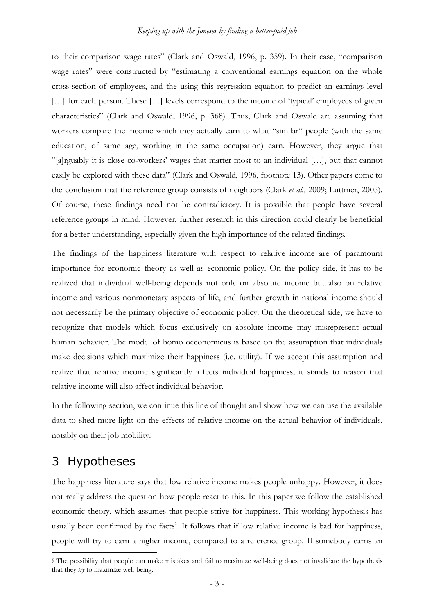#### <u>Keeping up with the Joneses by finding a better-paid job</u>

to their comparison wage rates" (Clark and Oswald, 1996, p. 359). In their case, "comparison wage rates" were constructed by "estimating a conventional earnings equation on the whole cross-section of employees, and the using this regression equation to predict an earnings level [...] for each person. These [...] levels correspond to the income of 'typical' employees of given characteristics" (Clark and Oswald, 1996, p. 368). Thus, Clark and Oswald are assuming that workers compare the income which they actually earn to what "similar" people (with the same education, of same age, working in the same occupation) earn. However, they argue that "[a]rguably it is close co-workers' wages that matter most to an individual [...], but that cannot easily be explored with these data" (Clark and Oswald, 1996, footnote 13). Other papers come to the conclusion that the reference group consists of neighbors (Clark et al., 2009; Luttmer, 2005). Of course, these findings need not be contradictory. It is possible that people have several reference groups in mind. However, further research in this direction could clearly be beneficial for a better understanding, especially given the high importance of the related findings.

The findings of the happiness literature with respect to relative income are of paramount importance for economic theory as well as economic policy. On the policy side, it has to be realized that individual well-being depends not only on absolute income but also on relative income and various nonmonetary aspects of life, and further growth in national income should not necessarily be the primary objective of economic policy. On the theoretical side, we have to recognize that models which focus exclusively on absolute income may misrepresent actual human behavior. The model of homo oeconomicus is based on the assumption that individuals make decisions which maximize their happiness (i.e. utility). If we accept this assumption and realize that relative income significantly affects individual happiness, it stands to reason that relative income will also affect individual behavior.

In the following section, we continue this line of thought and show how we can use the available data to shed more light on the effects of relative income on the actual behavior of individuals, notably on their job mobility.

## 3 Hypotheses

The happiness literature says that low relative income makes people unhappy. However, it does not really address the question how people react to this. In this paper we follow the established economic theory, which assumes that people strive for happiness. This working hypothesis has usually been confirmed by the facts<sup>§</sup>. It follows that if low relative income is bad for happiness, people will try to earn a higher income, compared to a reference group. If somebody earns an

Ine possibility that people can make mistakes and fail to maximize well-being does not invalidate the hypothesis that they try to maximize well-being.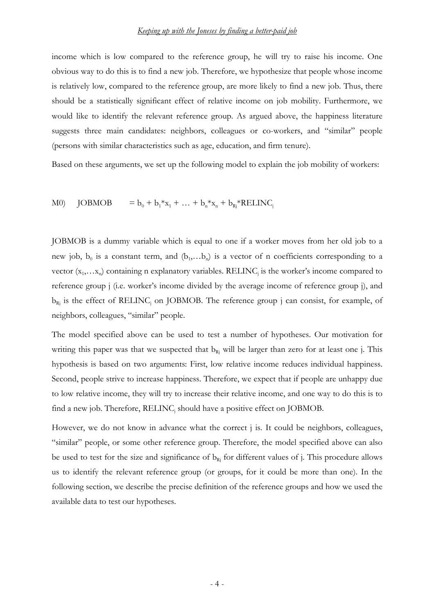income which is low compared to the reference group, he will try to raise his income. One obvious way to do this is to find a new job. Therefore, we hypothesize that people whose income is relatively low, compared to the reference group, are more likely to find a new job. Thus, there should be a statistically significant effect of relative income on job mobility. Furthermore, we would like to identify the relevant reference group. As argued above, the happiness literature suggests three main candidates: neighbors, colleagues or co-workers, and "similar" people (persons with similar characteristics such as age, education, and firm tenure).

Based on these arguments, we set up the following model to explain the job mobility of workers:

 $M()$   $JOBMOB$  $+ b_1^* x_1 + ... + b_n^* x_n + b_{Rj}^* RELINC_j$ 

JOBMOB is a dummy variable which is equal to one if a worker moves from her old job to a new job,  $b_0$  is a constant term, and  $(b_1,...b_n)$  is a vector of n coefficients corresponding to a vector  $(x_1,...x_n)$  containing n explanatory variables. RELINC<sub>j</sub> is the worker's income compared to reference group *j* (i.e. worker's income divided by the average income of reference group *j*), and  $b_{Rj}$  is the effect of RELINC<sub>j</sub> on JOBMOB. The reference group j can consist, for example, of neighbors, colleagues, "similar" people.

The model specified above can be used to test a number of hypotheses. Our motivation for writing this paper was that we suspected that  $b_{R_i}$  will be larger than zero for at least one j. This hypothesis is based on two arguments: First, low relative income reduces individual happiness. Second, people strive to increase happiness. Therefore, we expect that if people are unhappy due to low relative income, they will try to increase their relative income, and one way to do this is to find a new job. Therefore, RELINC<sub>j</sub> should have a positive effect on JOBMOB.

However, we do not know in advance what the correct j is. It could be neighbors, colleagues, "similar" people, or some other reference group. Therefore, the model specified above can also be used to test for the size and significance of  $b_{R_i}$  for different values of j. This procedure allows us to identify the relevant reference group (or groups, for it could be more than one). In the following section, we describe the precise definition of the reference groups and how we used the available data to test our hypotheses.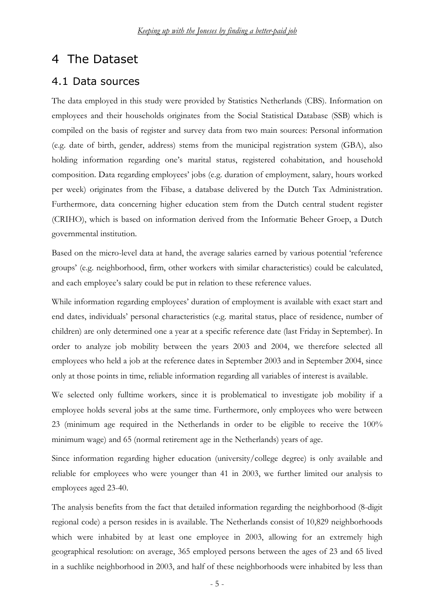## 4 The Dataset

### 4.1 Data sources

The data employed in this study were provided by Statistics Netherlands (CBS). Information on employees and their households originates from the Social Statistical Database (SSB) which is compiled on the basis of register and survey data from two main sources: Personal information (e.g. date of birth, gender, address) stems from the municipal registration system (GBA), also holding information regarding one's marital status, registered cohabitation, and household composition. Data regarding employees' jobs (e.g. duration of employment, salary, hours worked per week) originates from the Fibase, a database delivered by the Dutch Tax Administration. Furthermore, data concerning higher education stem from the Dutch central student register (CRIHO), which is based on information derived from the Informatie Beheer Groep, a Dutch governmental institution.

Based on the micro-level data at hand, the average salaries earned by various potential 'reference groups' (e.g. neighborhood, firm, other workers with similar characteristics) could be calculated, and each employee's salary could be put in relation to these reference values.

While information regarding employees' duration of employment is available with exact start and end dates, individuals' personal characteristics (e.g. marital status, place of residence, number of children) are only determined one a year at a specific reference date (last Friday in September). In order to analyze job mobility between the years 2003 and 2004, we therefore selected all employees who held a job at the reference dates in September 2003 and in September 2004, since only at those points in time, reliable information regarding all variables of interest is available.

We selected only fulltime workers, since it is problematical to investigate job mobility if a employee holds several jobs at the same time. Furthermore, only employees who were between 23 (minimum age required in the Netherlands in order to be eligible to receive the 100% minimum wage) and 65 (normal retirement age in the Netherlands) years of age.

Since information regarding higher education (university/college degree) is only available and reliable for employees who were younger than 41 in 2003, we further limited our analysis to employees aged 23-40.

The analysis benefits from the fact that detailed information regarding the neighborhood (8-digit regional code) a person resides in is available. The Netherlands consist of 10,829 neighborhoods which were inhabited by at least one employee in 2003, allowing for an extremely high geographical resolution: on average, 365 employed persons between the ages of 23 and 65 lived in a suchlike neighborhood in 2003, and half of these neighborhoods were inhabited by less than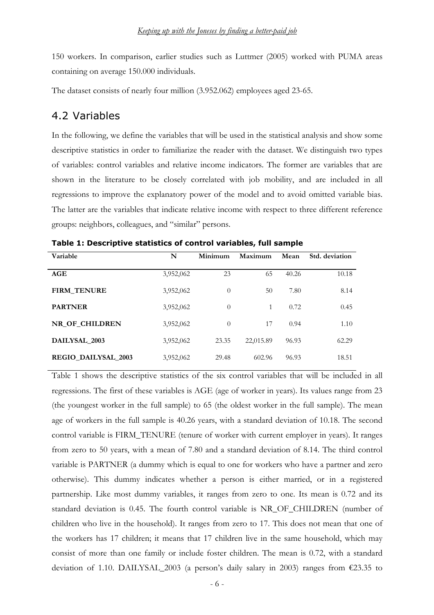150 workers. In comparison, earlier studies such as Luttmer (2005) worked with PUMA areas containing on average 150.000 individuals.

The dataset consists of nearly four million (3.952.062) employees aged 23-65.

### 4.2 Variables

In the following, we define the variables that will be used in the statistical analysis and show some descriptive statistics in order to familiarize the reader with the dataset. We distinguish two types of variables: control variables and relative income indicators. The former are variables that are shown in the literature to be closely correlated with job mobility, and are included in all regressions to improve the explanatory power of the model and to avoid omitted variable bias. The latter are the variables that indicate relative income with respect to three different reference groups: neighbors, colleagues, and "similar" persons.

| Variable                   | N         | Minimum  | Maximum   | Mean  | Std. deviation |
|----------------------------|-----------|----------|-----------|-------|----------------|
|                            |           |          |           |       |                |
| AGE                        | 3,952,062 | 23       | 65        | 40.26 | 10.18          |
| <b>FIRM_TENURE</b>         | 3,952,062 | $\theta$ | 50        | 7.80  | 8.14           |
| <b>PARTNER</b>             | 3,952,062 | $\theta$ | 1         | 0.72  | 0.45           |
| NR OF CHILDREN             | 3,952,062 | $\theta$ | 17        | 0.94  | 1.10           |
| DAILYSAL_2003              | 3,952,062 | 23.35    | 22,015.89 | 96.93 | 62.29          |
| <b>REGIO DAILYSAL 2003</b> | 3,952,062 | 29.48    | 602.96    | 96.93 | 18.51          |

Table 1: Descriptive statistics of control variables, full sample

Table 1 shows the descriptive statistics of the six control variables that will be included in all regressions. The first of these variables is AGE (age of worker in years). Its values range from 23 (the youngest worker in the full sample) to 65 (the oldest worker in the full sample). The mean age of workers in the full sample is 40.26 years, with a standard deviation of 10.18. The second control variable is FIRM\_TENURE (tenure of worker with current employer in years). It ranges from zero to 50 years, with a mean of 7.80 and a standard deviation of 8.14. The third control variable is PARTNER (a dummy which is equal to one for workers who have a partner and zero otherwise). This dummy indicates whether a person is either married, or in a registered partnership. Like most dummy variables, it ranges from zero to one. Its mean is 0.72 and its standard deviation is 0.45. The fourth control variable is NR OF CHILDREN (number of children who live in the household). It ranges from zero to 17. This does not mean that one of the workers has 17 children; it means that 17 children live in the same household, which may consist of more than one family or include foster children. The mean is 0.72, with a standard deviation of 1.10. DAILYSAL\_2003 (a person's daily salary in 2003) ranges from €23.35 to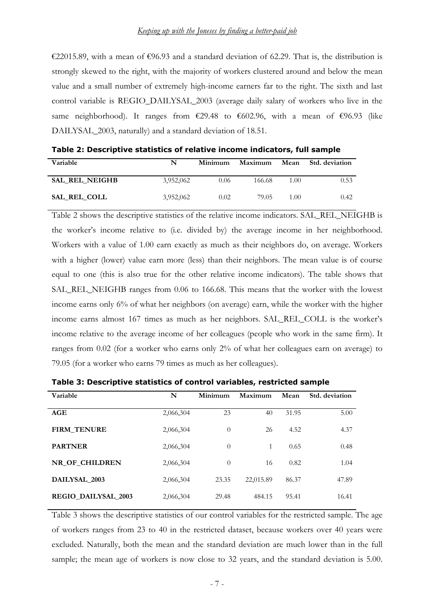€22015.89, with a mean of €96.93 and a standard deviation of 62.29. That is, the distribution is strongly skewed to the right, with the majority of workers clustered around and below the mean value and a small number of extremely high-income earners far to the right. The sixth and last control variable is REGIO\_DAILYSAL\_2003 (average daily salary of workers who live in the same neighborhood). It ranges from  $\epsilon$ 29.48 to  $\epsilon$ 602.96, with a mean of  $\epsilon$ 96.93 (like DAILYSAL\_2003, naturally) and a standard deviation of 18.51.

| Variable              | N         | Minimum | Maximum | Mean | <b>Std. deviation</b> |
|-----------------------|-----------|---------|---------|------|-----------------------|
| <b>SAL REL NEIGHB</b> | 3,952,062 | 0.06    | 166.68  | 1.00 | 0.53                  |
| SAL REL COLL          | 3,952,062 | 0.02    | 79.05   | 1.00 | 0.42                  |

Table 2: Descriptive statistics of relative income indicators, full sample

Table 2 shows the descriptive statistics of the relative income indicators. SAL\_REL\_NEIGHB is the worker's income relative to (i.e. divided by) the average income in her neighborhood. Workers with a value of 1.00 earn exactly as much as their neighbors do, on average. Workers with a higher (lower) value earn more (less) than their neighbors. The mean value is of course equal to one (this is also true for the other relative income indicators). The table shows that SAL\_REL\_NEIGHB ranges from 0.06 to 166.68. This means that the worker with the lowest income earns only 6% of what her neighbors (on average) earn, while the worker with the higher income earns almost 167 times as much as her neighbors. SAL\_REL\_COLL is the worker's income relative to the average income of her colleagues (people who work in the same firm). It ranges from  $0.02$  (for a worker who earns only  $2\%$  of what her colleagues earn on average) to 79.05 (for a worker who earns 79 times as much as her colleagues).

| Variable                   | N         | Minimum  | Maximum   | Mean  | Std. deviation |
|----------------------------|-----------|----------|-----------|-------|----------------|
|                            |           |          |           |       |                |
| AGE                        | 2,066,304 | 23       | 40        | 31.95 | 5.00           |
| <b>FIRM_TENURE</b>         | 2,066,304 | $\theta$ | 26        | 4.52  | 4.37           |
| <b>PARTNER</b>             | 2,066,304 | $\theta$ | 1         | 0.65  | 0.48           |
| NR OF CHILDREN             | 2,066,304 | $\theta$ | 16        | 0.82  | 1.04           |
| DAILYSAL_2003              | 2,066,304 | 23.35    | 22,015.89 | 86.37 | 47.89          |
| <b>REGIO DAILYSAL 2003</b> | 2,066,304 | 29.48    | 484.15    | 95.41 | 16.41          |

Table 3: Descriptive statistics of control variables, restricted sample

Table 3 shows the descriptive statistics of our control variables for the restricted sample. The age of workers ranges from 23 to 40 in the restricted dataset, because workers over 40 years were excluded. Naturally, both the mean and the standard deviation are much lower than in the full sample; the mean age of workers is now close to 32 years, and the standard deviation is 5.00.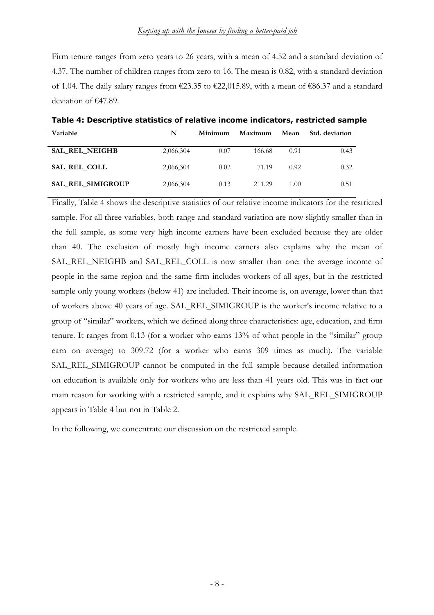Firm tenure ranges from zero years to 26 years, with a mean of 4.52 and a standard deviation of 4.37. The number of children ranges from zero to 16. The mean is 0.82, with a standard deviation of 1.04. The daily salary ranges from  $\epsilon$ 23.35 to  $\epsilon$ 22,015.89, with a mean of  $\epsilon$ 86.37 and a standard deviation of  $£47.89$ .

Table 4: Descriptive statistics of relative income indicators, restricted sample

| Variable                 | N         | Minimum | Maximum<br>Mean |      | Std. deviation |
|--------------------------|-----------|---------|-----------------|------|----------------|
| <b>SAL REL NEIGHB</b>    | 2,066,304 | 0.07    | 166.68          | 0.91 | 0.43           |
| SAL REL COLL             | 2,066,304 | 0.02    | 71.19           | 0.92 | 0.32           |
| <b>SAL REL SIMIGROUP</b> | 2,066,304 | 0.13    | 211.29          | 1.00 | 0.51           |

Finally, Table 4 shows the descriptive statistics of our relative income indicators for the restricted sample. For all three variables, both range and standard variation are now slightly smaller than in the full sample, as some very high income earners have been excluded because they are older than 40. The exclusion of mostly high income earners also explains why the mean of SAL\_REL\_NEIGHB and SAL\_REL\_COLL is now smaller than one: the average income of people in the same region and the same firm includes workers of all ages, but in the restricted sample only young workers (below 41) are included. Their income is, on average, lower than that of workers above 40 years of age. SAL\_REL\_SIMIGROUP is the worker's income relative to a group of "similar" workers, which we defined along three characteristics: age, education, and firm tenure. It ranges from 0.13 (for a worker who earns 13% of what people in the "similar" group earn on average) to 309.72 (for a worker who earns 309 times as much). The variable SAL\_REL\_SIMIGROUP cannot be computed in the full sample because detailed information on education is available only for workers who are less than 41 years old. This was in fact our main reason for working with a restricted sample, and it explains why SAL\_REL\_SIMIGROUP appears in Table 4 but not in Table 2.

In the following, we concentrate our discussion on the restricted sample.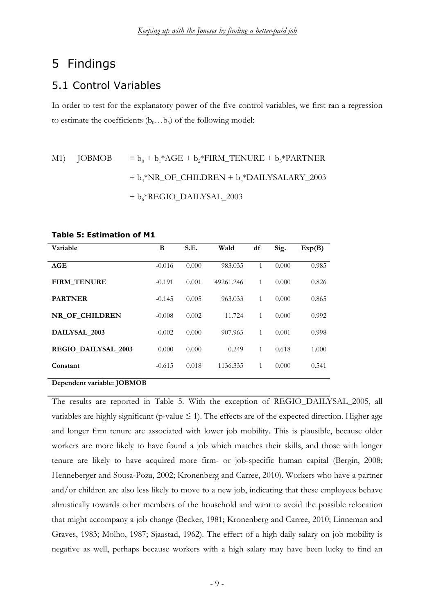#### Findings 5

### 5.1 Control Variables

In order to test for the explanatory power of the five control variables, we first ran a regression to estimate the coefficients  $(b_0...b_6)$  of the following model:

### $= b_0 + b_1^* AGE + b_2^* FIRM_TENURE + b_3^* PARTNER$ **JOBMOB**  $M1$  $+ b_{4}$ \*NR\_OF\_CHILDREN +  $b_{5}$ \*DAILYSALARY\_2003 + b<sub>6</sub>\*REGIO\_DAILYSAL\_2003

#### **Table 5: Estimation of M1**

| Variable                   | B        | S.E.  | Wald      | df           | Sig.  | Exp(B) |
|----------------------------|----------|-------|-----------|--------------|-------|--------|
| AGE                        | $-0.016$ | 0.000 | 983.035   | $\mathbf{1}$ | 0.000 | 0.985  |
| <b>FIRM TENURE</b>         | $-0.191$ | 0.001 | 49261.246 | 1            | 0.000 | 0.826  |
| <b>PARTNER</b>             | $-0.145$ | 0.005 | 963.033   | 1            | 0.000 | 0.865  |
| NR OF CHILDREN             | $-0.008$ | 0.002 | 11.724    | $\mathbf{1}$ | 0.000 | 0.992  |
| DAILYSAL 2003              | $-0.002$ | 0.000 | 907.965   | 1            | 0.001 | 0.998  |
| <b>REGIO DAILYSAL 2003</b> | 0.000    | 0.000 | 0.249     | $\mathbf{1}$ | 0.618 | 1.000  |
| Constant                   | $-0.615$ | 0.018 | 1136.335  | 1            | 0.000 | 0.541  |
| Dependent variable: JOBMOB |          |       |           |              |       |        |

The results are reported in Table 5. With the exception of REGIO DAILYSAL 2005, all variables are highly significant (p-value  $\leq$  1). The effects are of the expected direction. Higher age and longer firm tenure are associated with lower job mobility. This is plausible, because older workers are more likely to have found a job which matches their skills, and those with longer tenure are likely to have acquired more firm- or job-specific human capital (Bergin, 2008; Henneberger and Sousa-Poza, 2002; Kronenberg and Carree, 2010). Workers who have a partner and/or children are also less likely to move to a new job, indicating that these employees behave altrustically towards other members of the household and want to avoid the possible relocation that might accompany a job change (Becker, 1981; Kronenberg and Carree, 2010; Linneman and Graves, 1983; Molho, 1987; Sjaastad, 1962). The effect of a high daily salary on job mobility is negative as well, perhaps because workers with a high salary may have been lucky to find an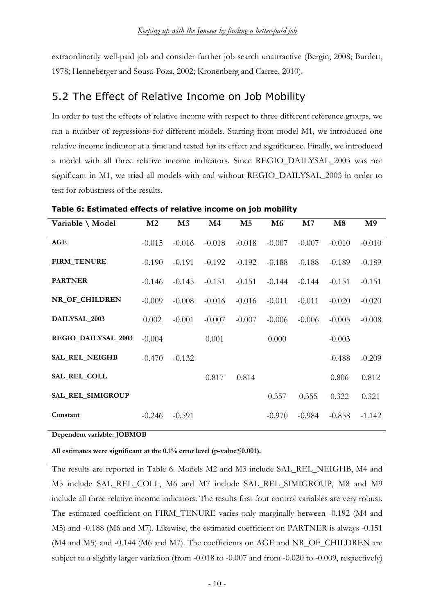extraordinarily well-paid job and consider further job search unattractive (Bergin, 2008; Burdett, 1978; Henneberger and Sousa-Poza, 2002; Kronenberg and Carree, 2010).

### 5.2 The Effect of Relative Income on Job Mobility

In order to test the effects of relative income with respect to three different reference groups, we ran a number of regressions for different models. Starting from model M1, we introduced one relative income indicator at a time and tested for its effect and significance. Finally, we introduced a model with all three relative income indicators. Since REGIO DAILYSAL 2003 was not significant in M1, we tried all models with and without REGIO\_DAILYSAL\_2003 in order to test for robustness of the results.

| Variable \ Model      | M <sub>2</sub> | M <sub>3</sub> | M <sub>4</sub> | M <sub>5</sub> | M <sub>6</sub> | M <sub>7</sub> | M8       | M <sub>9</sub> |
|-----------------------|----------------|----------------|----------------|----------------|----------------|----------------|----------|----------------|
| AGE                   | $-0.015$       | $-0.016$       | $-0.018$       | $-0.018$       | $-0.007$       | $-0.007$       | $-0.010$ | $-0.010$       |
| <b>FIRM_TENURE</b>    | $-0.190$       | $-0.191$       | $-0.192$       | $-0.192$       | $-0.188$       | $-0.188$       | $-0.189$ | $-0.189$       |
| <b>PARTNER</b>        | $-0.146$       | $-0.145$       | $-0.151$       | $-0.151$       | $-0.144$       | $-0.144$       | $-0.151$ | $-0.151$       |
| NR_OF_CHILDREN        | $-0.009$       | $-0.008$       | $-0.016$       | $-0.016$       | $-0.011$       | $-0.011$       | $-0.020$ | $-0.020$       |
| DAILYSAL_2003         | 0.002          | $-0.001$       | $-0.007$       | $-0.007$       | $-0.006$       | $-0.006$       | $-0.005$ | $-0.008$       |
| REGIO_DAILYSAL_2003   | $-0.004$       |                | 0.001          |                | 0.000          |                | $-0.003$ |                |
| <b>SAL_REL_NEIGHB</b> | $-0.470$       | $-0.132$       |                |                |                |                | $-0.488$ | $-0.209$       |
| SAL_REL_COLL          |                |                | 0.817          | 0.814          |                |                | 0.806    | 0.812          |
| SAL_REL_SIMIGROUP     |                |                |                |                | 0.357          | 0.355          | 0.322    | 0.321          |
| Constant              | $-0.246$       | $-0.591$       |                |                | $-0.970$       | $-0.984$       | $-0.858$ | $-1.142$       |

Table 6: Estimated effects of relative income on job mobility

Dependent variable: JOBMOB

All estimates were significant at the 0.1% error level (p-value≤0.001).

The results are reported in Table 6. Models M2 and M3 include SAL REL NEIGHB, M4 and M5 include SAL REL COLL, M6 and M7 include SAL REL SIMIGROUP, M8 and M9 include all three relative income indicators. The results first four control variables are very robust. The estimated coefficient on FIRM\_TENURE varies only marginally between -0.192 (M4 and M5) and -0.188 (M6 and M7). Likewise, the estimated coefficient on PARTNER is always -0.151 (M4 and M5) and -0.144 (M6 and M7). The coefficients on AGE and NR\_OF\_CHILDREN are subject to a slightly larger variation (from -0.018 to -0.007 and from -0.020 to -0.009, respectively)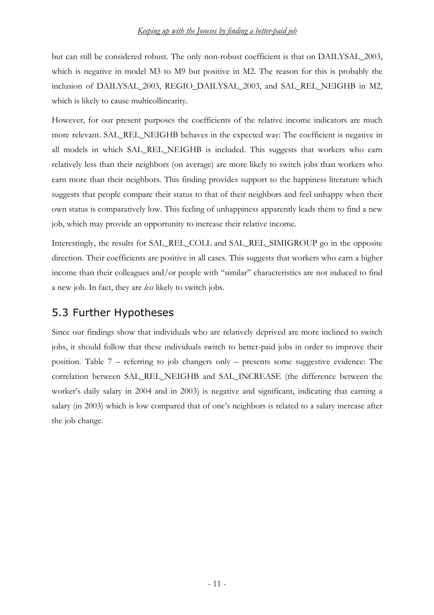but can still be considered robust. The only non-robust coefficient is that on DAILYSAL\_2003, which is negative in model M3 to M9 but positive in M2. The reason for this is probably the inclusion of DAILYSAL 2003, REGIO DAILYSAL 2003, and SAL REL NEIGHB in M2, which is likely to cause multicollinearity.

However, for our present purposes the coefficients of the relative income indicators are much more relevant. SAL REL NEIGHB behaves in the expected way: The coefficient is negative in all models in which SAL REL NEIGHB is included. This suggests that workers who earn relatively less than their neighbors (on average) are more likely to switch jobs than workers who earn more than their neighbors. This finding provides support to the happiness literature which suggests that people compare their status to that of their neighbors and feel unhappy when their own status is comparatively low. This feeling of unhappiness apparently leads them to find a new job, which may provide an opportunity to increase their relative income.

Interestingly, the results for SAL\_REL\_COLL and SAL\_REL\_SIMIGROUP go in the opposite direction. Their coefficients are positive in all cases. This suggests that workers who earn a higher income than their colleagues and/or people with "similar" characteristics are not induced to find a new job. In fact, they are *less* likely to switch jobs.

### 5.3 Further Hypotheses

Since our findings show that individuals who are relatively deprived are more inclined to switch jobs, it should follow that these individuals switch to better-paid jobs in order to improve their position. Table 7 – referring to job changers only – presents some suggestive evidence: The correlation between SAL REL NEIGHB and SAL INCREASE (the difference between the worker's daily salary in 2004 and in 2003) is negative and significant, indicating that earning a salary (in 2003) which is low compared that of one's neighbors is related to a salary increase after the job change.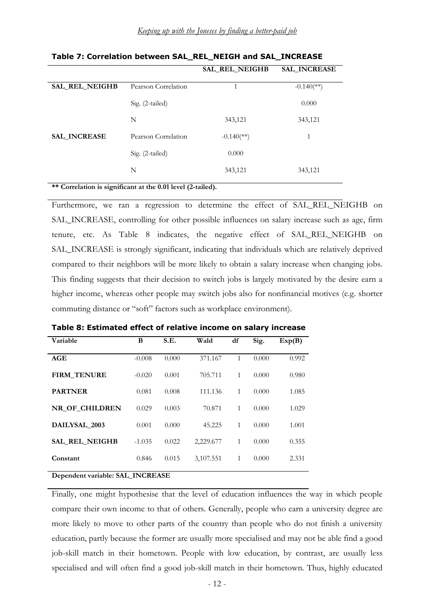|                     |                            | <b>SAL_INCREASE</b>      |
|---------------------|----------------------------|--------------------------|
| Pearson Correlation | 1                          | $-0.140$ <sup>**</sup> ) |
| Sig. (2-tailed)     |                            | 0.000                    |
| N                   | 343,121                    | 343,121                  |
| Pearson Correlation | $-0.140$ <sup>(**)</sup> ) | 1<br>1                   |
| Sig. (2-tailed)     | 0.000                      |                          |
| N                   | 343,121                    | 343,121                  |
|                     |                            | SAL_REL_NEIGHB           |

Table 7: Correlation between SAL\_REL\_NEIGH and SAL\_INCREASE

\*\* Correlation is significant at the 0.01 level (2-tailed).

Furthermore, we ran a regression to determine the effect of SAL REL NEIGHB on SAL\_INCREASE, controlling for other possible influences on salary increase such as age, firm tenure, etc. As Table 8 indicates, the negative effect of SAL\_REL\_NEIGHB on SAL\_INCREASE is strongly significant, indicating that individuals which are relatively deprived compared to their neighbors will be more likely to obtain a salary increase when changing jobs. This finding suggests that their decision to switch jobs is largely motivated by the desire earn a higher income, whereas other people may switch jobs also for nonfinancial motives (e.g. shorter commuting distance or "soft" factors such as workplace environment).

| Variable              | B        | S.E.  | Wald      | df | Sig.  | Exp(B) |
|-----------------------|----------|-------|-----------|----|-------|--------|
| AGE                   | $-0.008$ | 0.000 | 371.167   | 1  | 0.000 | 0.992  |
| <b>FIRM_TENURE</b>    | $-0.020$ | 0.001 | 705.711   | 1  | 0.000 | 0.980  |
| <b>PARTNER</b>        | 0.081    | 0.008 | 111.136   | 1  | 0.000 | 1.085  |
| NR OF CHILDREN        | 0.029    | 0.003 | 70.871    | 1  | 0.000 | 1.029  |
| DAILYSAL 2003         | 0.001    | 0.000 | 45.225    | 1  | 0.000 | 1.001  |
| <b>SAL REL NEIGHB</b> | $-1.035$ | 0.022 | 2,229.677 | 1  | 0.000 | 0.355  |
| Constant              | 0.846    | 0.015 | 3,107.551 | 1  | 0.000 | 2.331  |
|                       |          |       |           |    |       |        |

Table 8: Estimated effect of relative income on salary increase

Dependent variable: SAL\_INCREASE

Finally, one might hypothesise that the level of education influences the way in which people compare their own income to that of others. Generally, people who earn a university degree are more likely to move to other parts of the country than people who do not finish a university education, partly because the former are usually more specialised and may not be able find a good job-skill match in their hometown. People with low education, by contrast, are usually less specialised and will often find a good job-skill match in their hometown. Thus, highly educated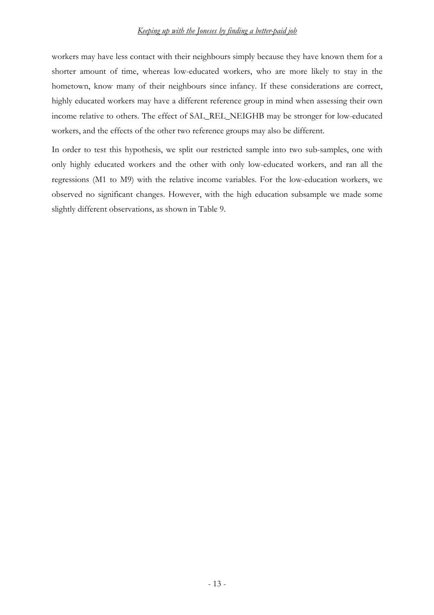#### <u>Keeping up with the Joneses by finding a better-paid job</u>

workers may have less contact with their neighbours simply because they have known them for a shorter amount of time, whereas loweducated workers, who are more likely to stay in the hometown, know many of their neighbours since infancy. If these considerations are correct, highly educated workers may have a different reference group in mind when assessing their own income relative to others. The effect of SAL\_REL\_NEIGHB may be stronger for low-educated workers, and the effects of the other two reference groups may also be different.

In order to test this hypothesis, we split our restricted sample into two sub-samples, one with only highly educated workers and the other with only loweducated workers, and ran all the regressions (M1 to M9) with the relative income variables. For the low-education workers, we observed no significant changes. However, with the high education subsample we made some slightly different observations, as shown in Table 9.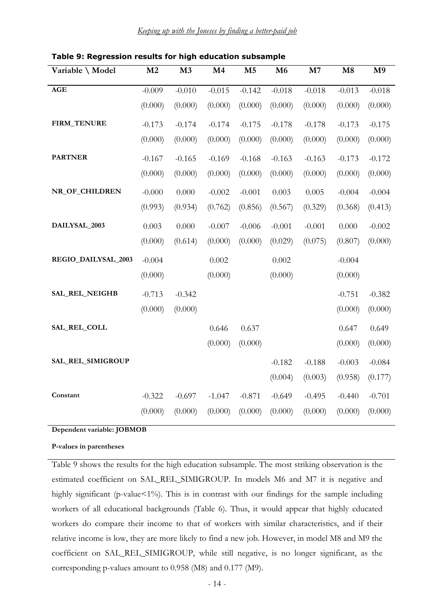| Variable \ Model    | M2       | M3        | M4       | M <sub>5</sub> | M6       | M7       | M8       | M <sub>9</sub> |
|---------------------|----------|-----------|----------|----------------|----------|----------|----------|----------------|
| <b>AGE</b>          | $-0.009$ | $-0.010$  | $-0.015$ | $-0.142$       | $-0.018$ | $-0.018$ | $-0.013$ | $-0.018$       |
|                     | (0.000)  | (0.000)   | (0.000)  | (0.000)        | (0.000)  | (0.000)  | (0.000)  | (0.000)        |
| FIRM_TENURE         | $-0.173$ | $-0.174$  | $-0.174$ | $-0.175$       | $-0.178$ | $-0.178$ | $-0.173$ | $-0.175$       |
|                     | (0.000)  | (0.000)   | (0.000)  | (0.000)        | (0.000)  | (0.000)  | (0.000)  | (0.000)        |
| <b>PARTNER</b>      | $-0.167$ | $-0.165$  | $-0.169$ | $-0.168$       | $-0.163$ | $-0.163$ | $-0.173$ | $-0.172$       |
|                     | (0.000)  | (0.000)   | (0.000)  | (0.000)        | (0.000)  | (0.000)  | (0.000)  | (0.000)        |
| NR_OF_CHILDREN      | $-0.000$ | 0.000     | $-0.002$ | $-0.001$       | 0.003    | 0.005    | $-0.004$ | $-0.004$       |
|                     | (0.993)  | (0.934)   | (0.762)  | (0.856)        | (0.567)  | (0.329)  | (0.368)  | (0.413)        |
| DAILYSAL_2003       | 0.003    | $0.000\,$ | $-0.007$ | $-0.006$       | $-0.001$ | $-0.001$ | 0.000    | $-0.002$       |
|                     | (0.000)  | (0.614)   | (0.000)  | (0.000)        | (0.029)  | (0.075)  | (0.807)  | (0.000)        |
| REGIO_DAILYSAL_2003 | $-0.004$ |           | 0.002    |                | 0.002    |          | $-0.004$ |                |
|                     | (0.000)  |           | (0.000)  |                | (0.000)  |          | (0.000)  |                |
| SAL_REL_NEIGHB      | $-0.713$ | $-0.342$  |          |                |          |          | $-0.751$ | $-0.382$       |
|                     | (0.000)  | (0.000)   |          |                |          |          | (0.000)  | (0.000)        |
| SAL_REL_COLL        |          |           | 0.646    | 0.637          |          |          | 0.647    | 0.649          |
|                     |          |           | (0.000)  | (0.000)        |          |          | (0.000)  | (0.000)        |
| SAL_REL_SIMIGROUP   |          |           |          |                | $-0.182$ | $-0.188$ | $-0.003$ | $-0.084$       |
|                     |          |           |          |                | (0.004)  | (0.003)  | (0.958)  | (0.177)        |
| Constant            | $-0.322$ | $-0.697$  | $-1.047$ | $-0.871$       | $-0.649$ | $-0.495$ | $-0.440$ | $-0.701$       |
|                     | (0.000)  | (0.000)   | (0.000)  | (0.000)        | (0.000)  | (0.000)  | (0.000)  | (0.000)        |
|                     |          |           |          |                |          |          |          |                |

Table 9: Regression results for high education subsample

Dependent variable: JOBMOB

P-values in parentheses

Table 9 shows the results for the high education subsample. The most striking observation is the estimated coefficient on SAL\_REL\_SIMIGROUP. In models M6 and M7 it is negative and highly significant (p-value $<1\%$ ). This is in contrast with our findings for the sample including workers of all educational backgrounds (Table 6). Thus, it would appear that highly educated workers do compare their income to that of workers with similar characteristics, and if their relative income is low, they are more likely to find a new job. However, in model M8 and M9 the coefficient on SAL\_REL\_SIMIGROUP, while still negative, is no longer significant, as the corresponding p-values amount to  $0.958$  (M8) and  $0.177$  (M9).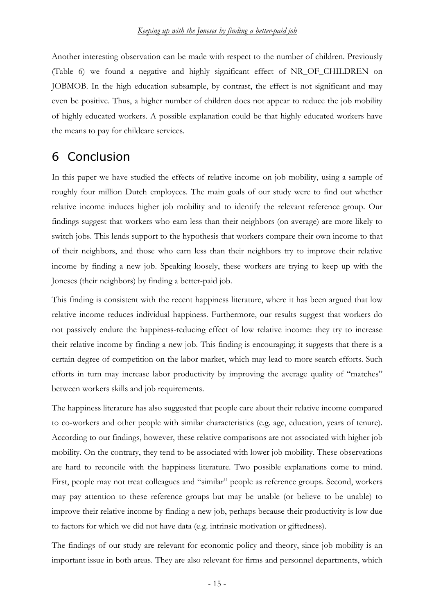Another interesting observation can be made with respect to the number of children. Previously (Table 6) we found a negative and highly significant effect of NR\_OF\_CHILDREN on JOBMOB. In the high education subsample, by contrast, the effect is not significant and may even be positive. Thus, a higher number of children does not appear to reduce the job mobility of highly educated workers. A possible explanation could be that highly educated workers have the means to pay for childcare services.

## 6 Conclusion

In this paper we have studied the effects of relative income on job mobility, using a sample of roughly four million Dutch employees. The main goals of our study were to find out whether relative income induces higher job mobility and to identify therelevant reference group. Our findings suggest that workers who earn less than their neighbors (on average) are more likely to switch jobs. This lends support to the hypothesis that workers compare their own income to that of their neighbors, and those who earn less than their neighbors try to improve their relative income by finding a new job. Speaking loosely, these workers are trying to keep up with the Joneses (their neighbors) by finding a better-paid job.

This finding is consistent with the recent happiness literature, where it has been argued that low relative income reduces individual happiness. Furthermore, our results suggest that workers do not passively endure the happiness-reducing effect of low relative income: they try to increase their relative income by finding a new job. This finding is encouraging; it suggests that there is a certain degree of competition on the labor market, which may lead to more search efforts. Such efforts in turn may increase labor productivity by improving the average quality of "matches" between workers skills and job requirements.

The happiness literature has also suggested that people care about their relative income compared to co-workers and other people with similar characteristics (e.g. age, education, years of tenure). According to our findings, however, these relative comparisons are not associated with higher job mobility. On the contrary, they tend to be associated with lower job mobility. These observations are hard to reconcile with the happiness literature. Two possible explanations come to mind. First, people may not treat colleagues and "similar" people as reference groups. Second, workers may pay attention to these reference groups but may be unable (or believe to be unable) to improve their relative income by finding a new job, perhaps because their productivity is low due to factors for which we did not have data (e.g. intrinsic motivation or giftedness).

The findings of our study are relevant for economic policy and theory, since job mobility is an important issue in both areas. They are also relevant for firms and personnel departments, which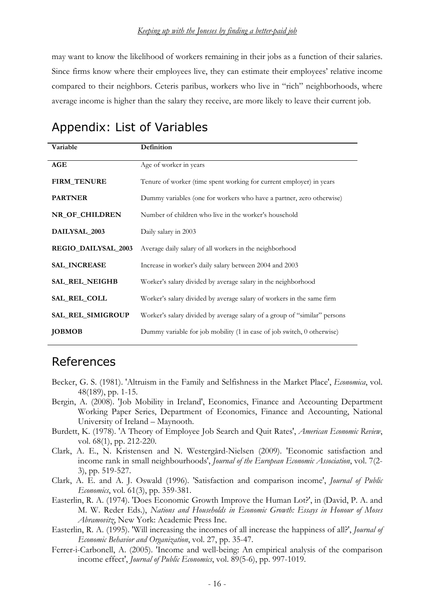may want to know the likelihood of workers remaining in their jobs as a function of their salaries. Since firms know where their employees live, they can estimate their employees' relative income compared to their neighbors. Ceteris paribus, workers who live in "rich" neighborhoods, where average income is higher than the salary they receive, are more likely to leave their current job.

## Appendix: List of Variables

| Variable            | Definition                                                                |
|---------------------|---------------------------------------------------------------------------|
| AGE                 | Age of worker in years                                                    |
| <b>FIRM_TENURE</b>  | Tenure of worker (time spent working for current employer) in years       |
| <b>PARTNER</b>      | Dummy variables (one for workers who have a partner, zero otherwise)      |
| NR_OF_CHILDREN      | Number of children who live in the worker's household                     |
| DAILYSAL_2003       | Daily salary in 2003                                                      |
| REGIO_DAILYSAL_2003 | Average daily salary of all workers in the neighborhood                   |
| <b>SAL_INCREASE</b> | Increase in worker's daily salary between 2004 and 2003                   |
| SAL_REL_NEIGHB      | Worker's salary divided by average salary in the neighborhood             |
| <b>SAL_REL_COLL</b> | Worker's salary divided by average salary of workers in the same firm     |
| SAL_REL_SIMIGROUP   | Worker's salary divided by average salary of a group of "similar" persons |
| <b>JOBMOB</b>       | Dummy variable for job mobility (1 in case of job switch, 0 otherwise)    |

## References

- Becker, G. S. (1981). 'Altruism in the Family and Selfishness in the Market Place', *Economica*, vol. 48(189), pp. 1-15.
- Bergin, A. (2008). 'Job Mobility in Ireland', Economics, Finance and Accounting Department Working Paper Series, Department of Economics, Finance and Accounting, National University of Ireland – Maynooth.
- Burdett, K. (1978). 'A Theory of Employee Job Search and Quit Rates', American Economic Review, vol. 68(1), pp. 212-220.
- Clark, A. E., N. Kristensen and N. Westergård-Nielsen (2009). 'Economic satisfaction and income rank in small neighbourhoods', Journal of the European Economic Association, vol. 7(2-3), pp. 519-527.
- Clark, A. E. and A. J. Oswald (1996). 'Satisfaction and comparison income', Journal of Public Economics, vol. 61(3), pp. 359-381.
- Easterlin, R. A. (1974). 'Does Economic Growth Improve the Human Lot?', in (David, P. A. and M. W. Reder Eds.), Nations and Households in Economic Growth: Essays in Honour of Moses Abramovitz, New York: Academic Press Inc.
- Easterlin, R. A. (1995). 'Will increasing the incomes of all increase the happiness of all?', *Journal of* Economic Behavior and Organization, vol. 27, pp. 35-47.
- Ferrer-i-Carbonell, A. (2005). 'Income and well-being: An empirical analysis of the comparison income effect', *Journal of Public Economics*, vol. 89(5-6), pp. 997-1019.